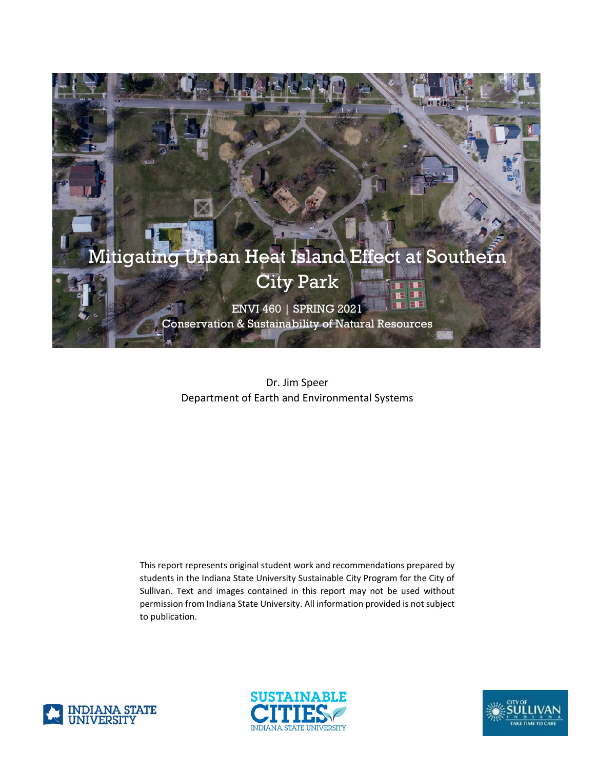

Dr. Jim Speer Department of Earth and Environmental Systems

This report represents original student work and recommendations prepared by students in the Indiana State University Sustainable City Program for the City of Sullivan. Text and images contained in this report may not be used without permission from Indiana State University. All information provided is not subject to publication.





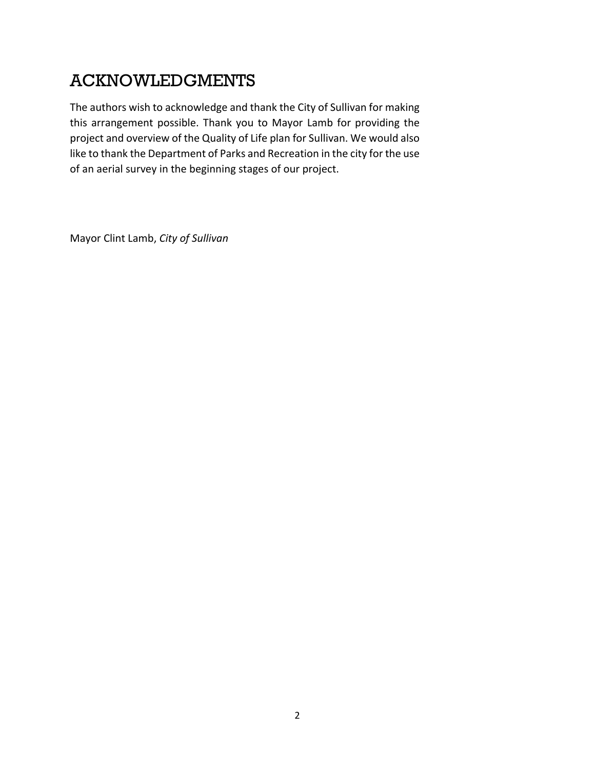# ACKNOWLEDGMENTS

The authors wish to acknowledge and thank the City of Sullivan for making this arrangement possible. Thank you to Mayor Lamb for providing the project and overview of the Quality of Life plan for Sullivan. We would also like to thank the Department of Parks and Recreation in the city for the use of an aerial survey in the beginning stages of our project.

Mayor Clint Lamb, *City of Sullivan*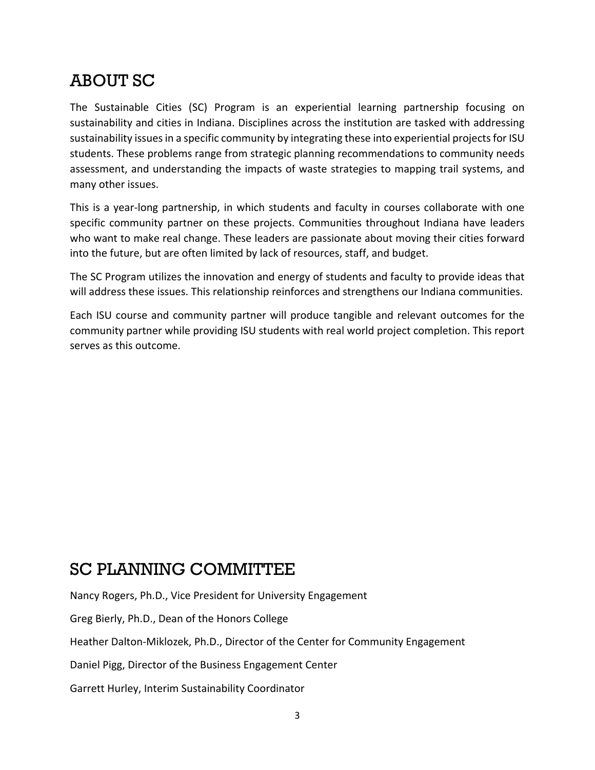# ABOUT SC

The Sustainable Cities (SC) Program is an experiential learning partnership focusing on sustainability and cities in Indiana. Disciplines across the institution are tasked with addressing sustainability issues in a specific community by integrating these into experiential projects for ISU students. These problems range from strategic planning recommendations to community needs assessment, and understanding the impacts of waste strategies to mapping trail systems, and many other issues.

This is a year-long partnership, in which students and faculty in courses collaborate with one specific community partner on these projects. Communities throughout Indiana have leaders who want to make real change. These leaders are passionate about moving their cities forward into the future, but are often limited by lack of resources, staff, and budget.

The SC Program utilizes the innovation and energy of students and faculty to provide ideas that will address these issues. This relationship reinforces and strengthens our Indiana communities.

Each ISU course and community partner will produce tangible and relevant outcomes for the community partner while providing ISU students with real world project completion. This report serves as this outcome.

### SC PLANNING COMMITTEE

Nancy Rogers, Ph.D., Vice President for University Engagement

Greg Bierly, Ph.D., Dean of the Honors College

Heather Dalton-Miklozek, Ph.D., Director of the Center for Community Engagement

Daniel Pigg, Director of the Business Engagement Center

Garrett Hurley, Interim Sustainability Coordinator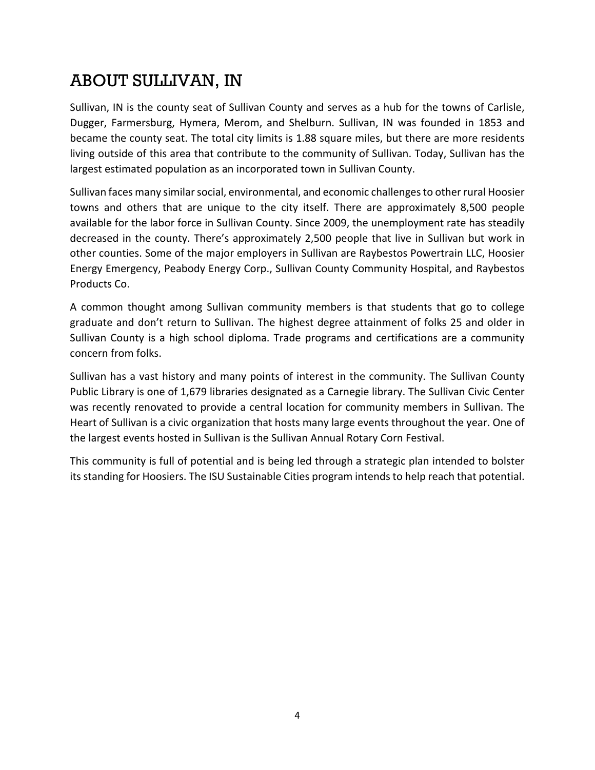# ABOUT SULLIVAN, IN

Sullivan, IN is the county seat of Sullivan County and serves as a hub for the towns of Carlisle, Dugger, Farmersburg, Hymera, Merom, and Shelburn. Sullivan, IN was founded in 1853 and became the county seat. The total city limits is 1.88 square miles, but there are more residents living outside of this area that contribute to the community of Sullivan. Today, Sullivan has the largest estimated population as an incorporated town in Sullivan County.

Sullivan faces many similar social, environmental, and economic challenges to other rural Hoosier towns and others that are unique to the city itself. There are approximately 8,500 people available for the labor force in Sullivan County. Since 2009, the unemployment rate has steadily decreased in the county. There's approximately 2,500 people that live in Sullivan but work in other counties. Some of the major employers in Sullivan are Raybestos Powertrain LLC, Hoosier Energy Emergency, Peabody Energy Corp., Sullivan County Community Hospital, and Raybestos Products Co.

A common thought among Sullivan community members is that students that go to college graduate and don't return to Sullivan. The highest degree attainment of folks 25 and older in Sullivan County is a high school diploma. Trade programs and certifications are a community concern from folks.

Sullivan has a vast history and many points of interest in the community. The Sullivan County Public Library is one of 1,679 libraries designated as a Carnegie library. The Sullivan Civic Center was recently renovated to provide a central location for community members in Sullivan. The Heart of Sullivan is a civic organization that hosts many large events throughout the year. One of the largest events hosted in Sullivan is the Sullivan Annual Rotary Corn Festival.

This community is full of potential and is being led through a strategic plan intended to bolster its standing for Hoosiers. The ISU Sustainable Cities program intends to help reach that potential.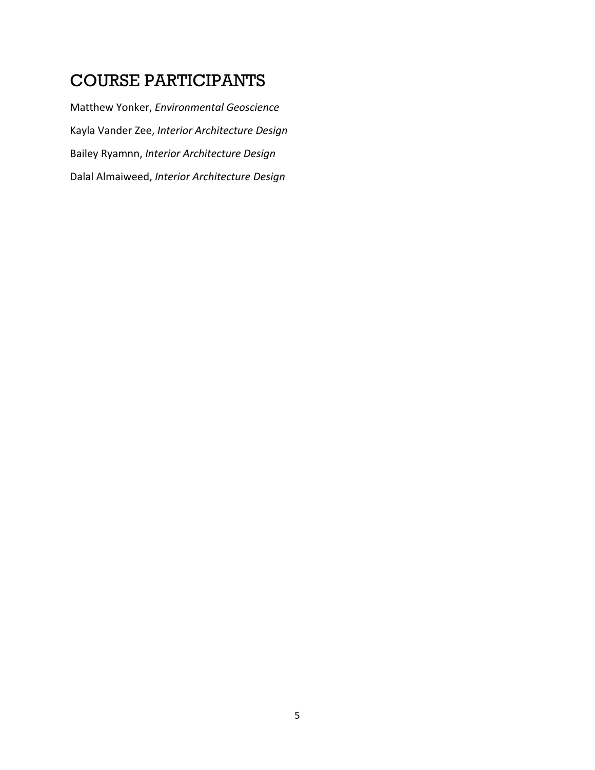### COURSE PARTICIPANTS

Matthew Yonker, *Environmental Geoscience* Kayla Vander Zee, *Interior Architecture Design* Bailey Ryamnn, *Interior Architecture Design* Dalal Almaiweed, *Interior Architecture Design*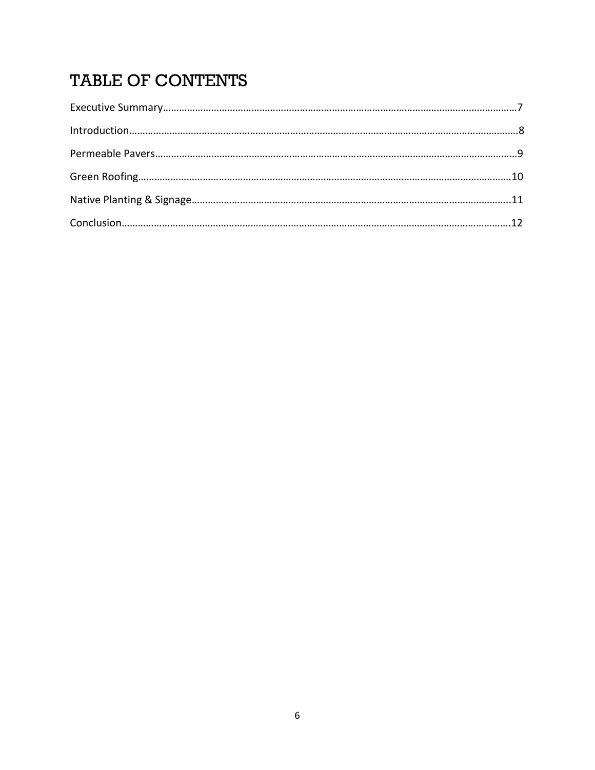# TABLE OF CONTENTS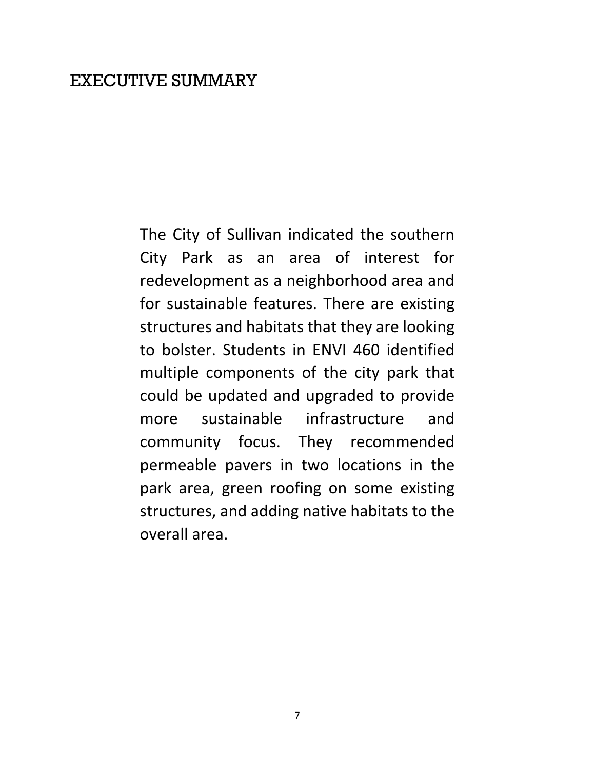### EXECUTIVE SUMMARY

The City of Sullivan indicated the southern City Park as an area of interest for redevelopment as a neighborhood area and for sustainable features. There are existing structures and habitats that they are looking to bolster. Students in ENVI 460 identified multiple components of the city park that could be updated and upgraded to provide more sustainable infrastructure and community focus. They recommended permeable pavers in two locations in the park area, green roofing on some existing structures, and adding native habitats to the overall area.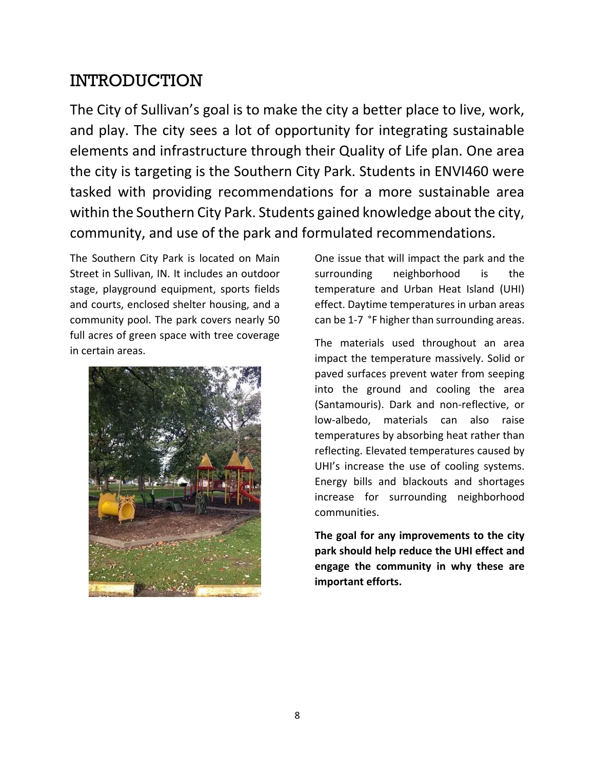### INTRODUCTION

The City of Sullivan's goal is to make the city a better place to live, work, and play. The city sees a lot of opportunity for integrating sustainable elements and infrastructure through their Quality of Life plan. One area the city is targeting is the Southern City Park. Students in ENVI460 were tasked with providing recommendations for a more sustainable area within the Southern City Park. Students gained knowledge about the city, community, and use of the park and formulated recommendations.

The Southern City Park is located on Main Street in Sullivan, IN. It includes an outdoor stage, playground equipment, sports fields and courts, enclosed shelter housing, and a community pool. The park covers nearly 50 full acres of green space with tree coverage in certain areas.



One issue that will impact the park and the surrounding neighborhood is the temperature and Urban Heat Island (UHI) effect. Daytime temperatures in urban areas can be 1-7 °F higher than surrounding areas.

The materials used throughout an area impact the temperature massively. Solid or paved surfaces prevent water from seeping into the ground and cooling the area (Santamouris). Dark and non-reflective, or low-albedo, materials can also raise temperatures by absorbing heat rather than reflecting. Elevated temperatures caused by UHI's increase the use of cooling systems. Energy bills and blackouts and shortages increase for surrounding neighborhood communities.

**The goal for any improvements to the city park should help reduce the UHI effect and engage the community in why these are important efforts.**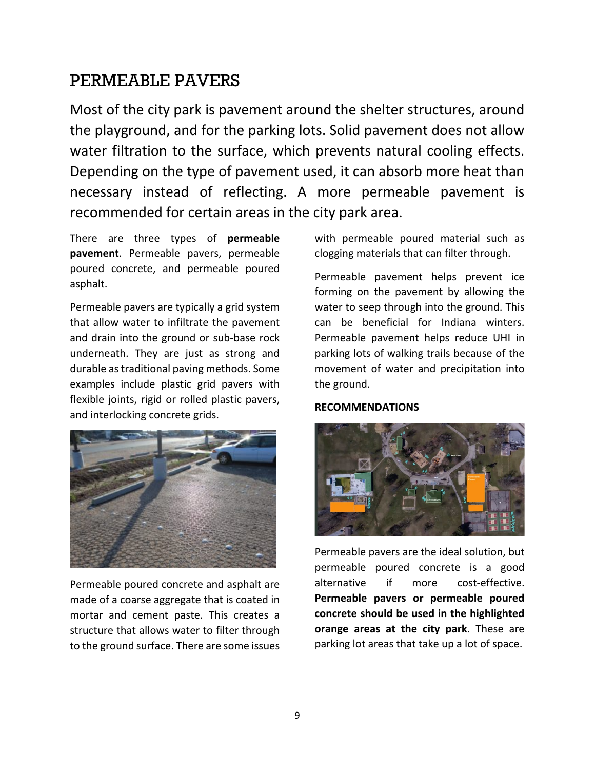### PERMEABLE PAVERS

Most of the city park is pavement around the shelter structures, around the playground, and for the parking lots. Solid pavement does not allow water filtration to the surface, which prevents natural cooling effects. Depending on the type of pavement used, it can absorb more heat than necessary instead of reflecting. A more permeable pavement is recommended for certain areas in the city park area.

There are three types of **permeable pavement**. Permeable pavers, permeable poured concrete, and permeable poured asphalt.

Permeable pavers are typically a grid system that allow water to infiltrate the pavement and drain into the ground or sub-base rock underneath. They are just as strong and durable as traditional paving methods. Some examples include plastic grid pavers with flexible joints, rigid or rolled plastic pavers, and interlocking concrete grids.



Permeable poured concrete and asphalt are made of a coarse aggregate that is coated in mortar and cement paste. This creates a structure that allows water to filter through to the ground surface. There are some issues with permeable poured material such as clogging materials that can filter through.

Permeable pavement helps prevent ice forming on the pavement by allowing the water to seep through into the ground. This can be beneficial for Indiana winters. Permeable pavement helps reduce UHI in parking lots of walking trails because of the movement of water and precipitation into the ground.

#### **RECOMMENDATIONS**



Permeable pavers are the ideal solution, but permeable poured concrete is a good alternative if more cost-effective. **Permeable pavers or permeable poured concrete should be used in the highlighted orange areas at the city park**. These are parking lot areas that take up a lot of space.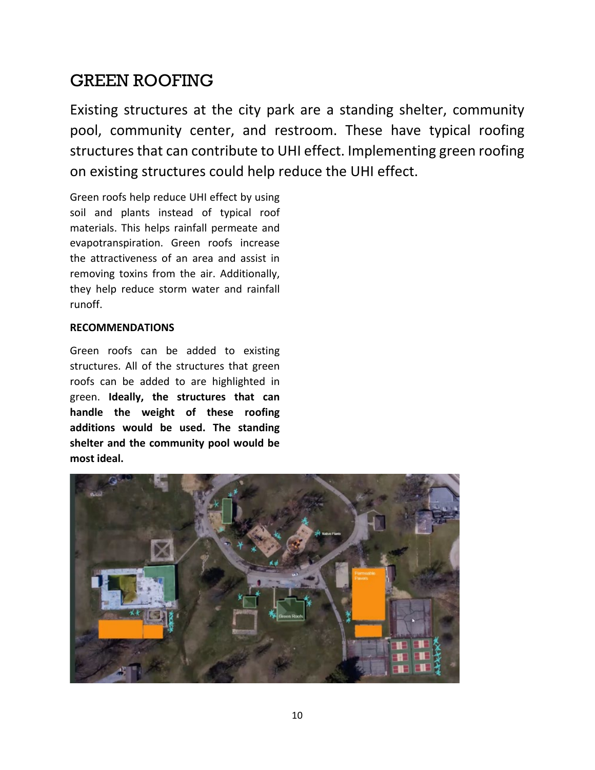### GREEN ROOFING

Existing structures at the city park are a standing shelter, community pool, community center, and restroom. These have typical roofing structures that can contribute to UHI effect. Implementing green roofing on existing structures could help reduce the UHI effect.

Green roofs help reduce UHI effect by using soil and plants instead of typical roof materials. This helps rainfall permeate and evapotranspiration. Green roofs increase the attractiveness of an area and assist in removing toxins from the air. Additionally, they help reduce storm water and rainfall runoff.

#### **RECOMMENDATIONS**

Green roofs can be added to existing structures. All of the structures that green roofs can be added to are highlighted in green. **Ideally, the structures that can handle the weight of these roofing additions would be used. The standing shelter and the community pool would be most ideal.** 

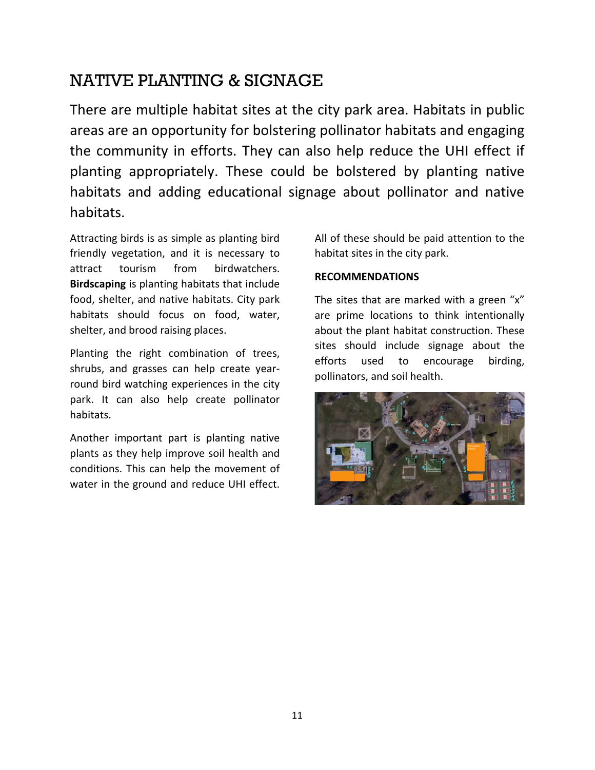## NATIVE PLANTING & SIGNAGE

There are multiple habitat sites at the city park area. Habitats in public areas are an opportunity for bolstering pollinator habitats and engaging the community in efforts. They can also help reduce the UHI effect if planting appropriately. These could be bolstered by planting native habitats and adding educational signage about pollinator and native habitats.

Attracting birds is as simple as planting bird friendly vegetation, and it is necessary to attract tourism from birdwatchers. **Birdscaping** is planting habitats that include food, shelter, and native habitats. City park habitats should focus on food, water, shelter, and brood raising places.

Planting the right combination of trees, shrubs, and grasses can help create yearround bird watching experiences in the city park. It can also help create pollinator habitats.

Another important part is planting native plants as they help improve soil health and conditions. This can help the movement of water in the ground and reduce UHI effect.

All of these should be paid attention to the habitat sites in the city park.

#### **RECOMMENDATIONS**

The sites that are marked with a green "x" are prime locations to think intentionally about the plant habitat construction. These sites should include signage about the efforts used to encourage birding, pollinators, and soil health.

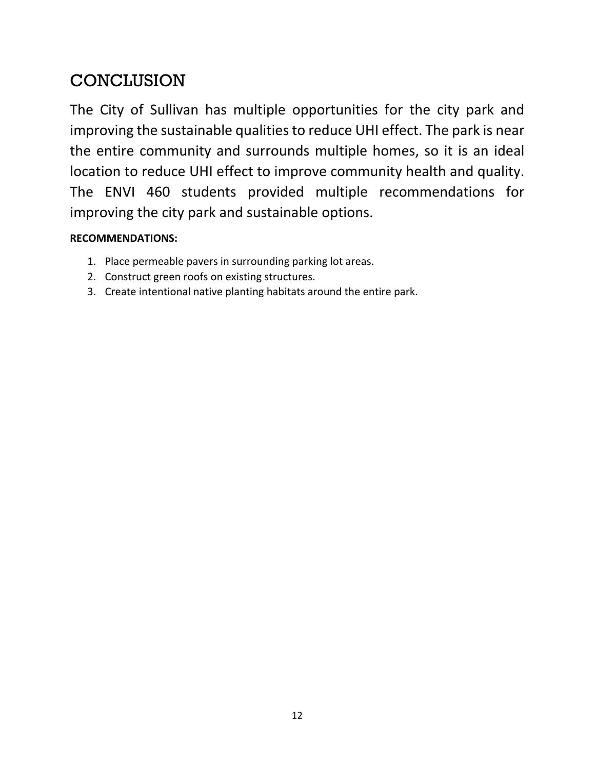# **CONCLUSION**

The City of Sullivan has multiple opportunities for the city park and improving the sustainable qualities to reduce UHI effect. The park is near the entire community and surrounds multiple homes, so it is an ideal location to reduce UHI effect to improve community health and quality. The ENVI 460 students provided multiple recommendations for improving the city park and sustainable options.

### **RECOMMENDATIONS:**

- 1. Place permeable pavers in surrounding parking lot areas.
- 2. Construct green roofs on existing structures.
- 3. Create intentional native planting habitats around the entire park.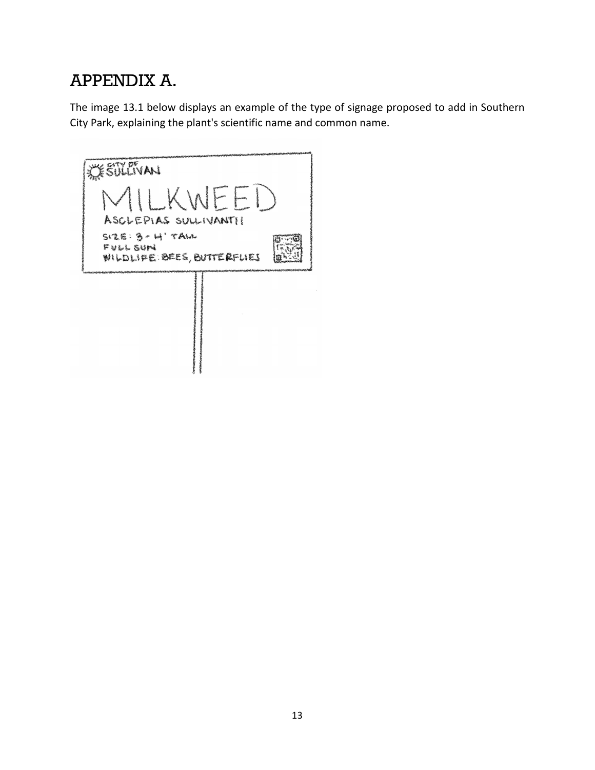# APPENDIX A.

The image 13.1 below displays an example of the type of signage proposed to add in Southern City Park, explaining the plant's scientific name and common name.

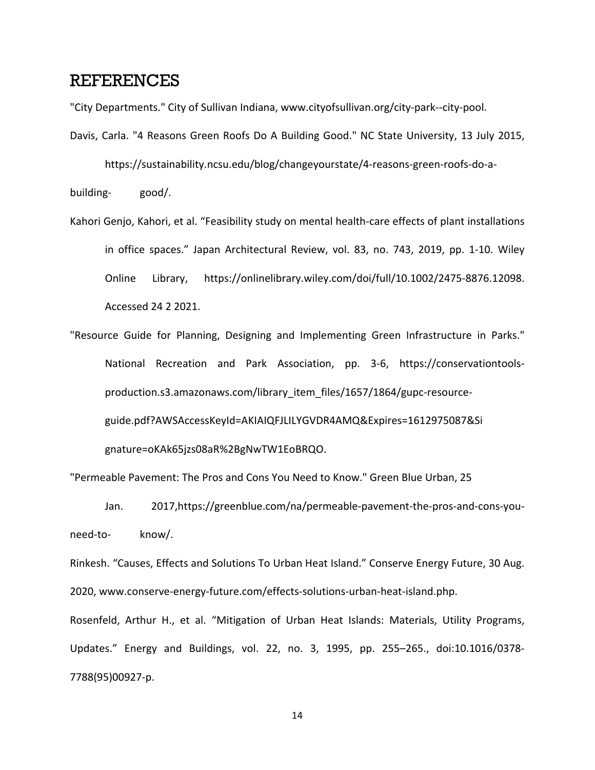### REFERENCES

"City Departments." City of Sullivan Indiana, www.cityofsullivan.org/city-park--city-pool.

Davis, Carla. "4 Reasons Green Roofs Do A Building Good." NC State University, 13 July 2015,

https://sustainability.ncsu.edu/blog/changeyourstate/4-reasons-green-roofs-do-a-

building- good/.

- Kahori Genjo, Kahori, et al. "Feasibility study on mental health-care effects of plant installations in office spaces." Japan Architectural Review, vol. 83, no. 743, 2019, pp. 1-10. Wiley Online Library, https://onlinelibrary.wiley.com/doi/full/10.1002/2475-8876.12098. Accessed 24 2 2021.
- "Resource Guide for Planning, Designing and Implementing Green Infrastructure in Parks." National Recreation and Park Association, pp. 3-6, https://conservationtoolsproduction.s3.amazonaws.com/library\_item\_files/1657/1864/gupc-resourceguide.pdf?AWSAccessKeyId=AKIAIQFJLILYGVDR4AMQ&Expires=1612975087&Si gnature=oKAk65jzs08aR%2BgNwTW1EoBRQO.

"Permeable Pavement: The Pros and Cons You Need to Know." Green Blue Urban, 25

Jan. 2017,https://greenblue.com/na/permeable-pavement-the-pros-and-cons-youneed-to- know/.

Rinkesh. "Causes, Effects and Solutions To Urban Heat Island." Conserve Energy Future, 30 Aug. 2020, www.conserve-energy-future.com/effects-solutions-urban-heat-island.php.

Rosenfeld, Arthur H., et al. "Mitigation of Urban Heat Islands: Materials, Utility Programs, Updates." Energy and Buildings, vol. 22, no. 3, 1995, pp. 255–265., doi:10.1016/0378- 7788(95)00927-p.